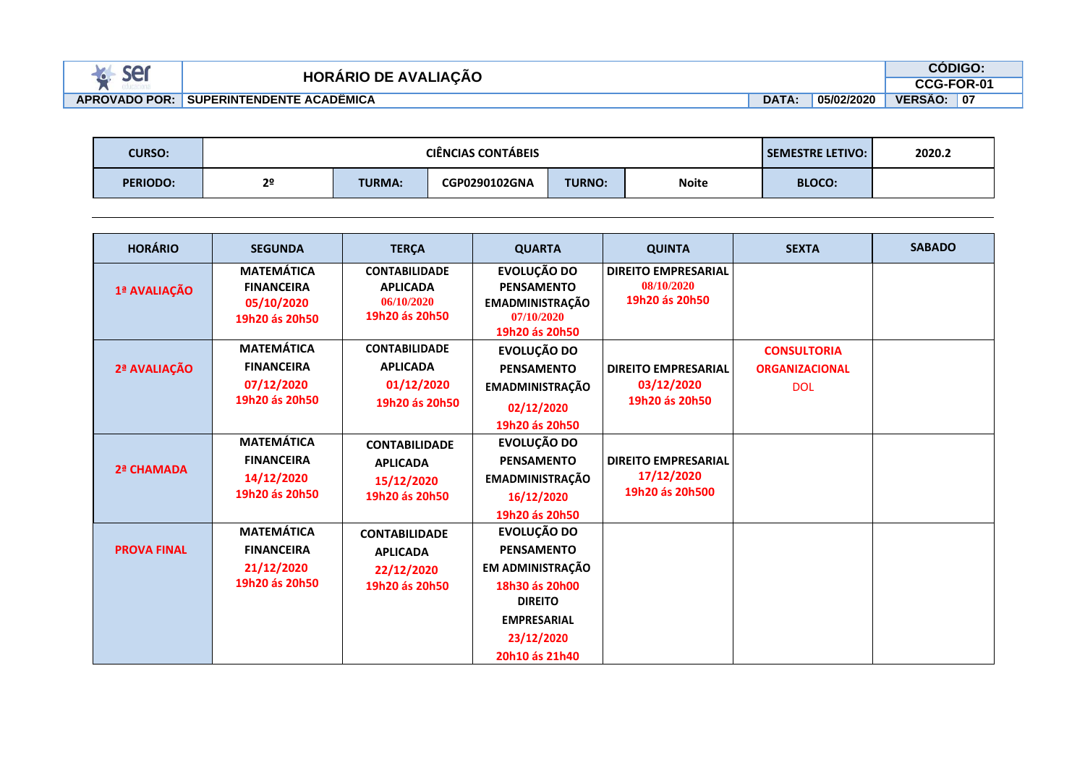| 2A<br><b>JL</b>        | המו<br><b>LIACÃO</b><br>. DE<br>AVA. |              |            |                | <b>DIGO</b> |  |
|------------------------|--------------------------------------|--------------|------------|----------------|-------------|--|
| $\sim$<br>suusatitu id |                                      |              |            |                | FOR-01      |  |
| <b>APROVADO POR:</b>   | <b>" SUPERINTENDENTE ACADËMICA</b>   | <b>DATA:</b> | 05/02/2020 | <b>VERSÃO:</b> | 07          |  |

| <b>CURSO:</b>   |                | <b>CIÊNCIAS CONTÁBEIS</b> | <b>SEMESTRE LETIVO:</b> | 2020.2        |              |               |  |
|-----------------|----------------|---------------------------|-------------------------|---------------|--------------|---------------|--|
| <b>PERIODO:</b> | 2 <sup>o</sup> | <b>TURMA:</b>             | CGP0290102GNA           | <b>TURNO:</b> | <b>Noite</b> | <b>BLOCO:</b> |  |

| <b>HORÁRIO</b>     | <b>SEGUNDA</b>                                                         | <b>TERÇA</b>                                                            | <b>QUARTA</b>                                                                                                                                  | <b>QUINTA</b>                                               | <b>SEXTA</b>                                              | <b>SABADO</b> |
|--------------------|------------------------------------------------------------------------|-------------------------------------------------------------------------|------------------------------------------------------------------------------------------------------------------------------------------------|-------------------------------------------------------------|-----------------------------------------------------------|---------------|
| 1ª AVALIAÇÃO       | <b>MATEMÁTICA</b><br><b>FINANCEIRA</b><br>05/10/2020<br>19h20 ás 20h50 | <b>CONTABILIDADE</b><br><b>APLICADA</b><br>06/10/2020<br>19h20 ás 20h50 | EVOLUÇÃO DO<br><b>PENSAMENTO</b><br><b>EMADMINISTRAÇÃO</b><br>07/10/2020<br>19h20 ás 20h50                                                     | <b>DIREITO EMPRESARIAL</b><br>08/10/2020<br>19h20 ás 20h50  |                                                           |               |
| 2ª AVALIAÇÃO       | <b>MATEMÁTICA</b><br><b>FINANCEIRA</b><br>07/12/2020<br>19h20 ás 20h50 | <b>CONTABILIDADE</b><br><b>APLICADA</b><br>01/12/2020<br>19h20 ás 20h50 | EVOLUÇÃO DO<br><b>PENSAMENTO</b><br><b>EMADMINISTRAÇÃO</b><br>02/12/2020<br>19h20 ás 20h50                                                     | <b>DIREITO EMPRESARIAL</b><br>03/12/2020<br>19h20 ás 20h50  | <b>CONSULTORIA</b><br><b>ORGANIZACIONAL</b><br><b>DOL</b> |               |
| 2ª CHAMADA         | <b>MATEMÁTICA</b><br><b>FINANCEIRA</b><br>14/12/2020<br>19h20 ás 20h50 | <b>CONTABILIDADE</b><br><b>APLICADA</b><br>15/12/2020<br>19h20 ás 20h50 | EVOLUÇÃO DO<br><b>PENSAMENTO</b><br><b>EMADMINISTRAÇÃO</b><br>16/12/2020<br>19h20 ás 20h50                                                     | <b>DIREITO EMPRESARIAL</b><br>17/12/2020<br>19h20 ás 20h500 |                                                           |               |
| <b>PROVA FINAL</b> | <b>MATEMÁTICA</b><br><b>FINANCEIRA</b><br>21/12/2020<br>19h20 ás 20h50 | <b>CONTABILIDADE</b><br><b>APLICADA</b><br>22/12/2020<br>19h20 ás 20h50 | EVOLUÇÃO DO<br><b>PENSAMENTO</b><br>EM ADMINISTRAÇÃO<br>18h30 ás 20h00<br><b>DIREITO</b><br><b>EMPRESARIAL</b><br>23/12/2020<br>20h10 ás 21h40 |                                                             |                                                           |               |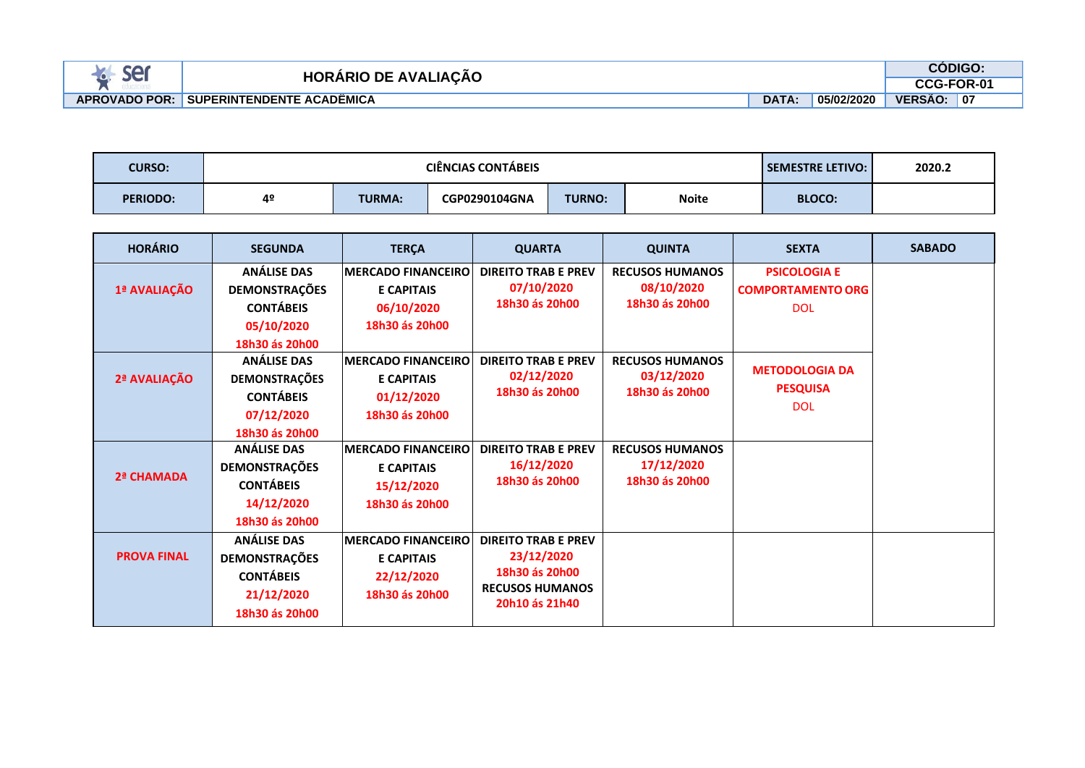| PA.<br><b>SIC</b> | המוו<br>CAC<br>AVΔ<br>.<br>ıΔ                   |              | <b>ODIGC</b> |                              |  |
|-------------------|-------------------------------------------------|--------------|--------------|------------------------------|--|
|                   |                                                 |              |              |                              |  |
| <b>OVADO POR:</b> | ACADÊMICA<br><b>TENDENTE</b><br><b>SUPERINT</b> | <b>DATA:</b> | 05/02/2020   | <b>VERSA</b><br>07<br>$\sim$ |  |

| <b>CURSO:</b>   |    | <b>SEMESTRE LETIVO:</b> | 2020.2        |               |              |               |  |
|-----------------|----|-------------------------|---------------|---------------|--------------|---------------|--|
| <b>PERIODO:</b> | 4º | <b>TURMA:</b>           | CGP0290104GNA | <b>TURNO:</b> | <b>Noite</b> | <b>BLOCO:</b> |  |

| <b>HORÁRIO</b>     | <b>SEGUNDA</b>                                                                                 | <b>TERÇA</b>                                                                    | <b>QUARTA</b>                                                                                          | <b>QUINTA</b>                                          | <b>SEXTA</b>                                                  | <b>SABADO</b> |
|--------------------|------------------------------------------------------------------------------------------------|---------------------------------------------------------------------------------|--------------------------------------------------------------------------------------------------------|--------------------------------------------------------|---------------------------------------------------------------|---------------|
| 1ª AVALIAÇÃO       | <b>ANÁLISE DAS</b><br><b>DEMONSTRAÇÕES</b><br><b>CONTÁBEIS</b><br>05/10/2020<br>18h30 ás 20h00 | <b>MERCADO FINANCEIRO</b><br><b>E CAPITAIS</b><br>06/10/2020<br>18h30 ás 20h00  | <b>DIREITO TRAB E PREV</b><br>07/10/2020<br>18h30 ás 20h00                                             | <b>RECUSOS HUMANOS</b><br>08/10/2020<br>18h30 ás 20h00 | <b>PSICOLOGIA E</b><br><b>COMPORTAMENTO ORG</b><br><b>DOL</b> |               |
| 2ª AVALIAÇÃO       | <b>ANÁLISE DAS</b><br><b>DEMONSTRAÇÕES</b><br><b>CONTÁBEIS</b><br>07/12/2020<br>18h30 ás 20h00 | <b>IMERCADO FINANCEIRO</b><br><b>E CAPITAIS</b><br>01/12/2020<br>18h30 ás 20h00 | <b>DIREITO TRAB E PREV</b><br>02/12/2020<br>18h30 ás 20h00                                             | <b>RECUSOS HUMANOS</b><br>03/12/2020<br>18h30 ás 20h00 | <b>METODOLOGIA DA</b><br><b>PESQUISA</b><br><b>DOL</b>        |               |
| 2ª CHAMADA         | <b>ANÁLISE DAS</b><br><b>DEMONSTRAÇÕES</b><br><b>CONTÁBEIS</b><br>14/12/2020<br>18h30 ás 20h00 | <b>MERCADO FINANCEIRO</b><br><b>E CAPITAIS</b><br>15/12/2020<br>18h30 ás 20h00  | <b>DIREITO TRAB E PREV</b><br>16/12/2020<br>18h30 ás 20h00                                             | <b>RECUSOS HUMANOS</b><br>17/12/2020<br>18h30 ás 20h00 |                                                               |               |
| <b>PROVA FINAL</b> | <b>ANÁLISE DAS</b><br><b>DEMONSTRAÇÕES</b><br><b>CONTÁBEIS</b><br>21/12/2020<br>18h30 ás 20h00 | <b>MERCADO FINANCEIRO</b><br><b>E CAPITAIS</b><br>22/12/2020<br>18h30 ás 20h00  | <b>DIREITO TRAB E PREV</b><br>23/12/2020<br>18h30 ás 20h00<br><b>RECUSOS HUMANOS</b><br>20h10 ás 21h40 |                                                        |                                                               |               |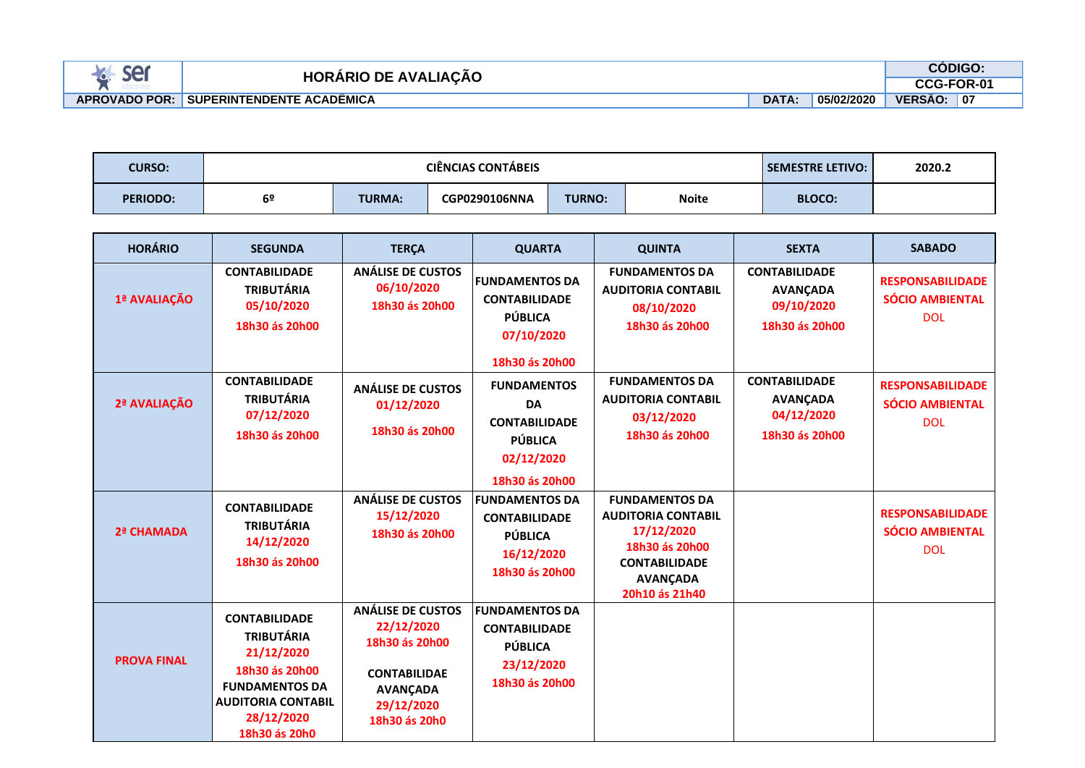| <b>CA</b>            | பு<br><b>AVAI</b><br>DE       |              |            |                | <b>ODIGO</b> |  |
|----------------------|-------------------------------|--------------|------------|----------------|--------------|--|
|                      | <b>IACAO</b> .<br>'ARIC<br>∍⊂ |              |            |                | -FOR-01      |  |
| <b>APROVADO POR:</b> | I SUPERINTENDENTE ACADËMICA   | <b>DATA:</b> | 05/02/2020 | <b>VERSÃO:</b> | <b>07</b>    |  |

| <b>CURSO:</b>   |    | <b>CIÊNCIAS CONTABEIS</b> | <b>SEMESTRE LETIVO:</b> | 2020.2        |              |               |  |
|-----------------|----|---------------------------|-------------------------|---------------|--------------|---------------|--|
| <b>PERIODO:</b> | 6º | <b>TURMA:</b>             | <b>CGP0290106NNA</b>    | <b>TURNO:</b> | <b>Noite</b> | <b>BLOCO:</b> |  |

| <b>HORÁRIO</b>     | <b>SEGUNDA</b>                                                                                                                                                 | <b>TERÇA</b>                                                                                                                      | <b>QUARTA</b>                                                                                             | <b>QUINTA</b>                                                                                                                                   | <b>SEXTA</b>                                                            | <b>SABADO</b>                                                   |
|--------------------|----------------------------------------------------------------------------------------------------------------------------------------------------------------|-----------------------------------------------------------------------------------------------------------------------------------|-----------------------------------------------------------------------------------------------------------|-------------------------------------------------------------------------------------------------------------------------------------------------|-------------------------------------------------------------------------|-----------------------------------------------------------------|
| 1ª AVALIAÇÃO       | <b>CONTABILIDADE</b><br><b>TRIBUTÁRIA</b><br>05/10/2020<br>18h30 ás 20h00                                                                                      | ANÁLISE DE CUSTOS<br>06/10/2020<br>18h30 ás 20h00                                                                                 | <b>FUNDAMENTOS DA</b><br><b>CONTABILIDADE</b><br><b>PÚBLICA</b><br>07/10/2020<br>18h30 ás 20h00           | <b>FUNDAMENTOS DA</b><br><b>AUDITORIA CONTABIL</b><br>08/10/2020<br>18h30 ás 20h00                                                              | <b>CONTABILIDADE</b><br><b>AVANÇADA</b><br>09/10/2020<br>18h30 ás 20h00 | <b>RESPONSABILIDADE</b><br><b>SÓCIO AMBIENTAL</b><br><b>DOL</b> |
| 2ª AVALIAÇÃO       | <b>CONTABILIDADE</b><br><b>TRIBUTÁRIA</b><br>07/12/2020<br>18h30 ás 20h00                                                                                      | <b>ANÁLISE DE CUSTOS</b><br>01/12/2020<br>18h30 ás 20h00                                                                          | <b>FUNDAMENTOS</b><br><b>DA</b><br><b>CONTABILIDADE</b><br><b>PÚBLICA</b><br>02/12/2020<br>18h30 ás 20h00 | <b>FUNDAMENTOS DA</b><br><b>AUDITORIA CONTABIL</b><br>03/12/2020<br>18h30 ás 20h00                                                              | <b>CONTABILIDADE</b><br><b>AVANCADA</b><br>04/12/2020<br>18h30 ás 20h00 | <b>RESPONSABILIDADE</b><br><b>SÓCIO AMBIENTAL</b><br><b>DOL</b> |
| 2ª CHAMADA         | <b>CONTABILIDADE</b><br><b>TRIBUTÁRIA</b><br>14/12/2020<br>18h30 ás 20h00                                                                                      | <b>ANÁLISE DE CUSTOS</b><br>15/12/2020<br>18h30 ás 20h00                                                                          | <b>FUNDAMENTOS DA</b><br><b>CONTABILIDADE</b><br><b>PÚBLICA</b><br>16/12/2020<br>18h30 ás 20h00           | <b>FUNDAMENTOS DA</b><br><b>AUDITORIA CONTABIL</b><br>17/12/2020<br>18h30 ás 20h00<br><b>CONTABILIDADE</b><br><b>AVANÇADA</b><br>20h10 ás 21h40 |                                                                         | <b>RESPONSABILIDADE</b><br><b>SÓCIO AMBIENTAL</b><br><b>DOL</b> |
| <b>PROVA FINAL</b> | <b>CONTABILIDADE</b><br><b>TRIBUTÁRIA</b><br>21/12/2020<br>18h30 ás 20h00<br><b>FUNDAMENTOS DA</b><br><b>AUDITORIA CONTABIL</b><br>28/12/2020<br>18h30 ás 20h0 | <b>ANÁLISE DE CUSTOS</b><br>22/12/2020<br>18h30 ás 20h00<br><b>CONTABILIDAE</b><br><b>AVANÇADA</b><br>29/12/2020<br>18h30 ás 20h0 | <b>FUNDAMENTOS DA</b><br><b>CONTABILIDADE</b><br><b>PÚBLICA</b><br>23/12/2020<br>18h30 ás 20h00           |                                                                                                                                                 |                                                                         |                                                                 |